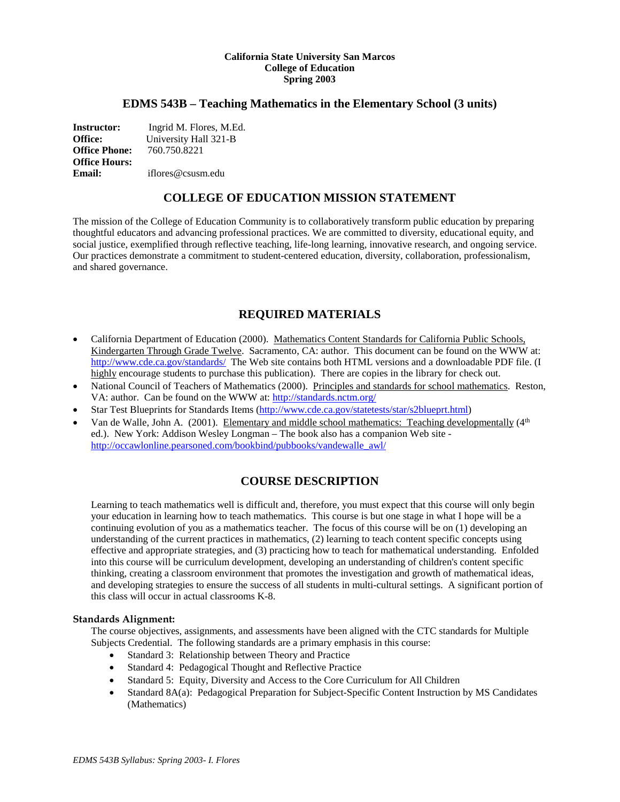#### **California State University San Marcos College of Education Spring 2003**

### **EDMS 543B – Teaching Mathematics in the Elementary School (3 units)**

**Instructor:** Ingrid M. Flores, M.Ed. **Office:** University Hall 321-B<br>**Office Phone:** 760.750.8221 **Office Phone: Office Hours: Email:** iflores@csusm.edu

# **COLLEGE OF EDUCATION MISSION STATEMENT**

The mission of the College of Education Community is to collaboratively transform public education by preparing thoughtful educators and advancing professional practices. We are committed to diversity, educational equity, and social justice, exemplified through reflective teaching, life-long learning, innovative research, and ongoing service. Our practices demonstrate a commitment to student-centered education, diversity, collaboration, professionalism, and shared governance.

# **REQUIRED MATERIALS**

- California Department of Education (2000). Mathematics Content Standards for California Public Schools, Kindergarten Through Grade Twelve. Sacramento, CA: author. This document can be found on the WWW at: <http://www.cde.ca.gov/standards/>The Web site contains both HTML versions and a downloadable PDF file. (I highly encourage students to purchase this publication). There are copies in the library for check out.
- National Council of Teachers of Mathematics (2000). Principles and standards for school mathematics. Reston, VA: author. Can be found on the WWW at:<http://standards.nctm.org/>
- Star Test Blueprints for Standards Items [\(http://www.cde.ca.gov/statetests/star/s2blueprt.html\)](http://www.cde.ca.gov/statetests/star/s2blueprt.html)
- Van de Walle, John A. (2001). Elementary and middle school mathematics: Teaching developmentally (4<sup>th</sup>) ed.). New York: Addison Wesley Longman – The book also has a companion Web site [http://occawlonline.pearsoned.com/bookbind/pubbooks/vandewalle\\_awl/](http://occawlonline.pearsoned.com/bookbind/pubbooks/vandewalle_awl/)

# **COURSE DESCRIPTION**

Learning to teach mathematics well is difficult and, therefore, you must expect that this course will only begin your education in learning how to teach mathematics. This course is but one stage in what I hope will be a continuing evolution of you as a mathematics teacher. The focus of this course will be on (1) developing an understanding of the current practices in mathematics, (2) learning to teach content specific concepts using effective and appropriate strategies, and (3) practicing how to teach for mathematical understanding. Enfolded into this course will be curriculum development, developing an understanding of children's content specific thinking, creating a classroom environment that promotes the investigation and growth of mathematical ideas, and developing strategies to ensure the success of all students in multi-cultural settings. A significant portion of this class will occur in actual classrooms K-8.

#### **Standards Alignment:**

The course objectives, assignments, and assessments have been aligned with the CTC standards for Multiple Subjects Credential. The following standards are a primary emphasis in this course:

- Standard 3: Relationship between Theory and Practice
- Standard 4: Pedagogical Thought and Reflective Practice
- Standard 5: Equity, Diversity and Access to the Core Curriculum for All Children
- Standard 8A(a): Pedagogical Preparation for Subject-Specific Content Instruction by MS Candidates (Mathematics)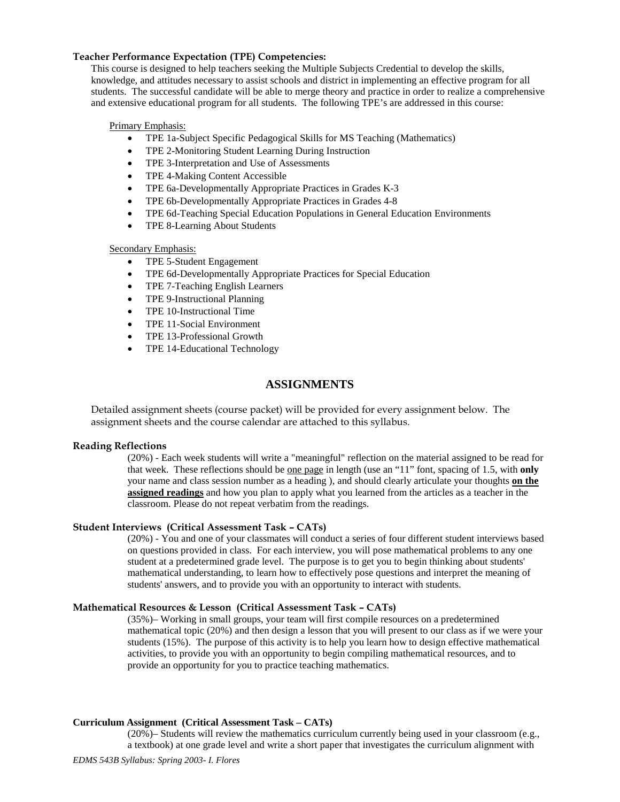### **Teacher Performance Expectation (TPE) Competencies:**

This course is designed to help teachers seeking the Multiple Subjects Credential to develop the skills, knowledge, and attitudes necessary to assist schools and district in implementing an effective program for all students. The successful candidate will be able to merge theory and practice in order to realize a comprehensive and extensive educational program for all students. The following TPE's are addressed in this course:

#### Primary Emphasis:

- TPE 1a-Subject Specific Pedagogical Skills for MS Teaching (Mathematics)
- TPE 2-Monitoring Student Learning During Instruction
- TPE 3-Interpretation and Use of Assessments
- TPE 4-Making Content Accessible
- TPE 6a-Developmentally Appropriate Practices in Grades K-3
- TPE 6b-Developmentally Appropriate Practices in Grades 4-8
- TPE 6d-Teaching Special Education Populations in General Education Environments
- TPE 8-Learning About Students

### Secondary Emphasis:

- TPE 5-Student Engagement
- TPE 6d-Developmentally Appropriate Practices for Special Education
- TPE 7-Teaching English Learners
- TPE 9-Instructional Planning
- TPE 10-Instructional Time
- TPE 11-Social Environment
- TPE 13-Professional Growth
- TPE 14-Educational Technology

# **ASSIGNMENTS**

Detailed assignment sheets (course packet) will be provided for every assignment below. The assignment sheets and the course calendar are attached to this syllabus.

#### **Reading Reflections**

(20%) - Each week students will write a "meaningful" reflection on the material assigned to be read for that week. These reflections should be one page in length (use an "11" font, spacing of 1.5, with **only**  your name and class session number as a heading ), and should clearly articulate your thoughts **on the assigned readings** and how you plan to apply what you learned from the articles as a teacher in the classroom. Please do not repeat verbatim from the readings.

### **Student Interviews (Critical Assessment Task – CATs)**

(20%) - You and one of your classmates will conduct a series of four different student interviews based on questions provided in class. For each interview, you will pose mathematical problems to any one student at a predetermined grade level. The purpose is to get you to begin thinking about students' mathematical understanding, to learn how to effectively pose questions and interpret the meaning of students' answers, and to provide you with an opportunity to interact with students.

### **Mathematical Resources & Lesson (Critical Assessment Task – CATs)**

(35%)– Working in small groups, your team will first compile resources on a predetermined mathematical topic (20%) and then design a lesson that you will present to our class as if we were your students (15%). The purpose of this activity is to help you learn how to design effective mathematical activities, to provide you with an opportunity to begin compiling mathematical resources, and to provide an opportunity for you to practice teaching mathematics.

#### **Curriculum Assignment (Critical Assessment Task – CATs)**

(20%)– Students will review the mathematics curriculum currently being used in your classroom (e.g., a textbook) at one grade level and write a short paper that investigates the curriculum alignment with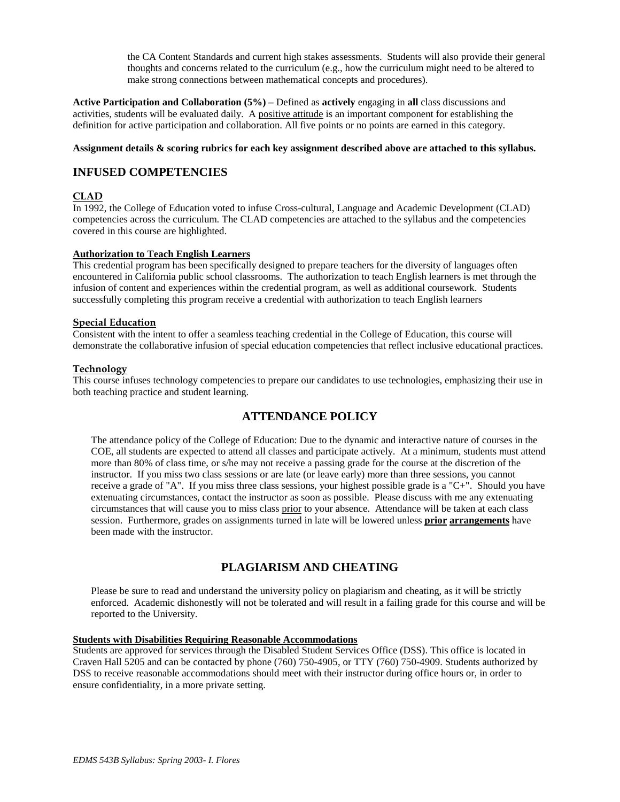the CA Content Standards and current high stakes assessments. Students will also provide their general thoughts and concerns related to the curriculum (e.g., how the curriculum might need to be altered to make strong connections between mathematical concepts and procedures).

**Active Participation and Collaboration (5%) –** Defined as **actively** engaging in **all** class discussions and activities, students will be evaluated daily. A positive attitude is an important component for establishing the definition for active participation and collaboration. All five points or no points are earned in this category.

### **Assignment details & scoring rubrics for each key assignment described above are attached to this syllabus.**

# **INFUSED COMPETENCIES**

### **CLAD**

In 1992, the College of Education voted to infuse Cross-cultural, Language and Academic Development (CLAD) competencies across the curriculum. The CLAD competencies are attached to the syllabus and the competencies covered in this course are highlighted.

### **Authorization to Teach English Learners**

This credential program has been specifically designed to prepare teachers for the diversity of languages often encountered in California public school classrooms. The authorization to teach English learners is met through the infusion of content and experiences within the credential program, as well as additional coursework. Students successfully completing this program receive a credential with authorization to teach English learners

### **Special Education**

Consistent with the intent to offer a seamless teaching credential in the College of Education, this course will demonstrate the collaborative infusion of special education competencies that reflect inclusive educational practices.

### **Technology**

This course infuses technology competencies to prepare our candidates to use technologies, emphasizing their use in both teaching practice and student learning.

# **ATTENDANCE POLICY**

The attendance policy of the College of Education: Due to the dynamic and interactive nature of courses in the COE, all students are expected to attend all classes and participate actively. At a minimum, students must attend more than 80% of class time, or s/he may not receive a passing grade for the course at the discretion of the instructor. If you miss two class sessions or are late (or leave early) more than three sessions, you cannot receive a grade of "A". If you miss three class sessions, your highest possible grade is a "C+". Should you have extenuating circumstances, contact the instructor as soon as possible. Please discuss with me any extenuating circumstances that will cause you to miss class prior to your absence. Attendance will be taken at each class session. Furthermore, grades on assignments turned in late will be lowered unless **prior arrangements** have been made with the instructor.

# **PLAGIARISM AND CHEATING**

Please be sure to read and understand the university policy on plagiarism and cheating, as it will be strictly enforced. Academic dishonestly will not be tolerated and will result in a failing grade for this course and will be reported to the University.

### **Students with Disabilities Requiring Reasonable Accommodations**

Students are approved for services through the Disabled Student Services Office (DSS). This office is located in Craven Hall 5205 and can be contacted by phone (760) 750-4905, or TTY (760) 750-4909. Students authorized by DSS to receive reasonable accommodations should meet with their instructor during office hours or, in order to ensure confidentiality, in a more private setting.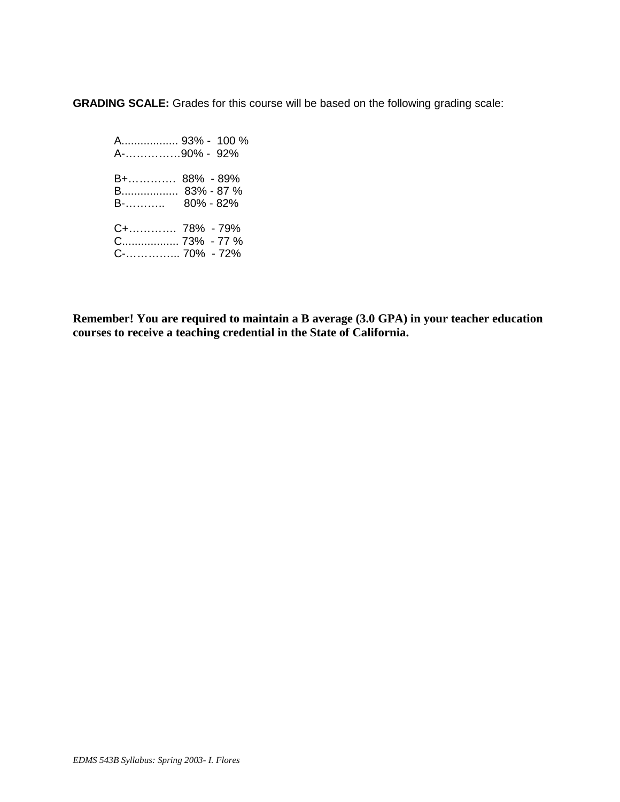**GRADING SCALE:** Grades for this course will be based on the following grading scale:

 A.................. 93% - 100 % A-……………90% - 92% B+…………. 88% - 89% B.................. 83% - 87 % B-……….. 80% - 82% C+…………. 78% - 79% C.................. 73% - 77 % C-…………... 70% - 72%

**Remember! You are required to maintain a B average (3.0 GPA) in your teacher education courses to receive a teaching credential in the State of California.**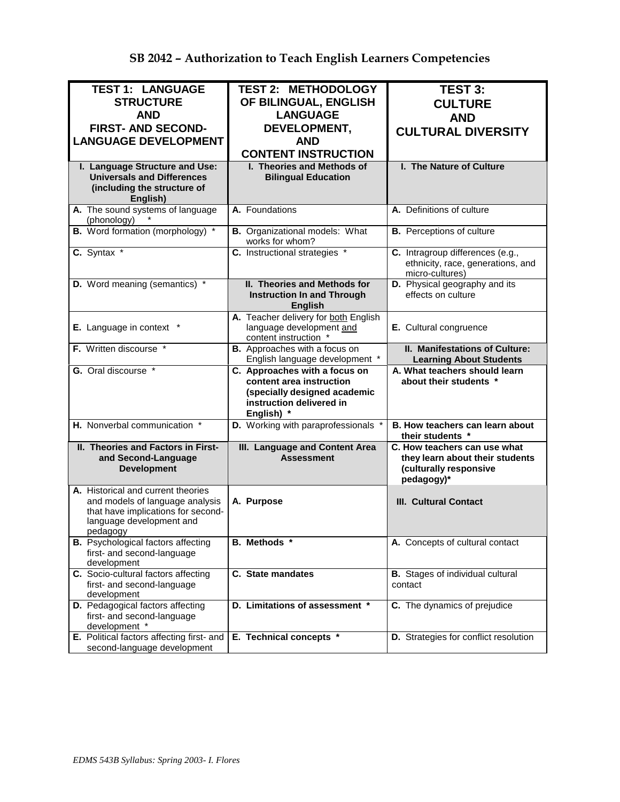| <b>TEST 1: LANGUAGE</b>                                                      | <b>TEST 2: METHODOLOGY</b>                               | <b>TEST 3:</b>                                                                           |  |
|------------------------------------------------------------------------------|----------------------------------------------------------|------------------------------------------------------------------------------------------|--|
| <b>STRUCTURE</b>                                                             | OF BILINGUAL, ENGLISH                                    | <b>CULTURE</b>                                                                           |  |
| <b>AND</b>                                                                   |                                                          |                                                                                          |  |
|                                                                              | <b>LANGUAGE</b>                                          | <b>AND</b>                                                                               |  |
| <b>FIRST- AND SECOND-</b>                                                    | DEVELOPMENT,                                             | <b>CULTURAL DIVERSITY</b>                                                                |  |
| <b>LANGUAGE DEVELOPMENT</b>                                                  | <b>AND</b>                                               |                                                                                          |  |
|                                                                              | <b>CONTENT INSTRUCTION</b>                               |                                                                                          |  |
| I. Language Structure and Use:                                               | I. Theories and Methods of                               | I. The Nature of Culture                                                                 |  |
| <b>Universals and Differences</b><br>(including the structure of<br>English) | <b>Bilingual Education</b>                               |                                                                                          |  |
| A. The sound systems of language<br>(phonology)                              | A. Foundations                                           | A. Definitions of culture                                                                |  |
| <b>B.</b> Word formation (morphology) *                                      | <b>B.</b> Organizational models: What<br>works for whom? | <b>B.</b> Perceptions of culture                                                         |  |
| C. Syntax *                                                                  | C. Instructional strategies *                            | C. Intragroup differences (e.g.,<br>ethnicity, race, generations, and<br>micro-cultures) |  |
| D. Word meaning (semantics) *                                                | <b>II. Theories and Methods for</b>                      | D. Physical geography and its                                                            |  |
|                                                                              | <b>Instruction In and Through</b><br><b>English</b>      | effects on culture                                                                       |  |
|                                                                              | A. Teacher delivery for both English                     |                                                                                          |  |
| E. Language in context *                                                     | language development and<br>content instruction *        | E. Cultural congruence                                                                   |  |
| F. Written discourse *                                                       | B. Approaches with a focus on                            | II. Manifestations of Culture:                                                           |  |
|                                                                              | English language development *                           | <b>Learning About Students</b>                                                           |  |
|                                                                              |                                                          |                                                                                          |  |
| G. Oral discourse *                                                          | C. Approaches with a focus on                            | A. What teachers should learn                                                            |  |
|                                                                              | content area instruction                                 | about their students *                                                                   |  |
|                                                                              | (specially designed academic                             |                                                                                          |  |
|                                                                              | instruction delivered in                                 |                                                                                          |  |
| H. Nonverbal communication *                                                 | English) *<br>D. Working with paraprofessionals *        | B. How teachers can learn about                                                          |  |
|                                                                              |                                                          | their students *                                                                         |  |
| II. Theories and Factors in First-                                           | III. Language and Content Area<br><b>Assessment</b>      | C. How teachers can use what                                                             |  |
| and Second-Language<br><b>Development</b>                                    |                                                          | they learn about their students                                                          |  |
|                                                                              |                                                          | (culturally responsive<br>pedagogy)*                                                     |  |
| A. Historical and current theories                                           |                                                          |                                                                                          |  |
| and models of language analysis                                              | A. Purpose                                               | <b>III. Cultural Contact</b>                                                             |  |
| that have implications for second-                                           |                                                          |                                                                                          |  |
| language development and                                                     |                                                          |                                                                                          |  |
| pedagogy                                                                     |                                                          |                                                                                          |  |
| <b>B.</b> Psychological factors affecting<br>first- and second-language      | B. Methods *                                             | A. Concepts of cultural contact                                                          |  |
| development                                                                  |                                                          |                                                                                          |  |
| C. Socio-cultural factors affecting                                          | C. State mandates                                        | <b>B.</b> Stages of individual cultural                                                  |  |
| first- and second-language                                                   |                                                          | contact                                                                                  |  |
| development                                                                  |                                                          |                                                                                          |  |
| D. Pedagogical factors affecting                                             | D. Limitations of assessment *                           | C. The dynamics of prejudice                                                             |  |
| first- and second-language                                                   |                                                          |                                                                                          |  |
| development *<br>E. Political factors affecting first- and                   | E. Technical concepts *                                  | D. Strategies for conflict resolution                                                    |  |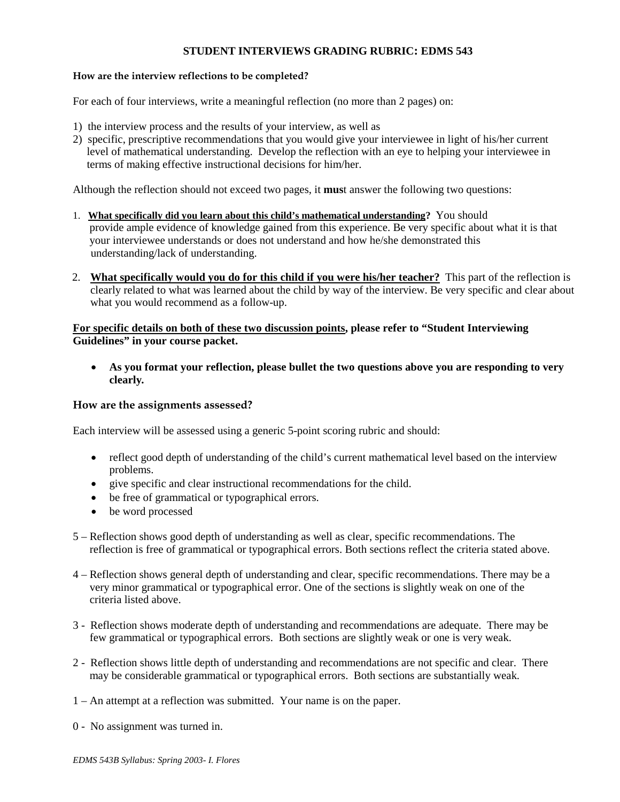## **STUDENT INTERVIEWS GRADING RUBRIC: EDMS 543**

### **How are the interview reflections to be completed?**

For each of four interviews, write a meaningful reflection (no more than 2 pages) on:

- 1) the interview process and the results of your interview, as well as
- 2) specific, prescriptive recommendations that you would give your interviewee in light of his/her current level of mathematical understanding. Develop the reflection with an eye to helping your interviewee in terms of making effective instructional decisions for him/her.

Although the reflection should not exceed two pages, it **mus**t answer the following two questions:

- 1. **What specifically did you learn about this child's mathematical understanding?** You should provide ample evidence of knowledge gained from this experience. Be very specific about what it is that your interviewee understands or does not understand and how he/she demonstrated this understanding/lack of understanding.
- 2. **What specifically would you do for this child if you were his/her teacher?** This part of the reflection is clearly related to what was learned about the child by way of the interview. Be very specific and clear about what you would recommend as a follow-up.

## **For specific details on both of these two discussion points, please refer to "Student Interviewing Guidelines" in your course packet.**

• **As you format your reflection, please bullet the two questions above you are responding to very clearly***.*

### **How are the assignments assessed?**

Each interview will be assessed using a generic 5-point scoring rubric and should:

- reflect good depth of understanding of the child's current mathematical level based on the interview problems.
- give specific and clear instructional recommendations for the child.
- be free of grammatical or typographical errors.
- be word processed
- 5 Reflection shows good depth of understanding as well as clear, specific recommendations. The reflection is free of grammatical or typographical errors. Both sections reflect the criteria stated above.
- 4 Reflection shows general depth of understanding and clear, specific recommendations. There may be a very minor grammatical or typographical error. One of the sections is slightly weak on one of the criteria listed above.
- 3 Reflection shows moderate depth of understanding and recommendations are adequate. There may be few grammatical or typographical errors. Both sections are slightly weak or one is very weak.
- 2 Reflection shows little depth of understanding and recommendations are not specific and clear. There may be considerable grammatical or typographical errors. Both sections are substantially weak.
- 1 An attempt at a reflection was submitted. Your name is on the paper.
- 0 No assignment was turned in.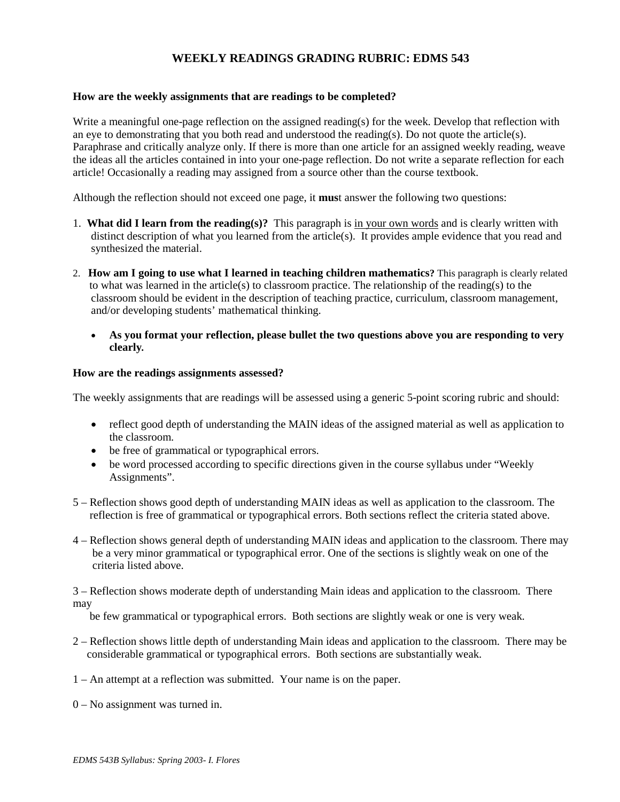# **WEEKLY READINGS GRADING RUBRIC: EDMS 543**

### **How are the weekly assignments that are readings to be completed?**

Write a meaningful one-page reflection on the assigned reading(s) for the week. Develop that reflection with an eye to demonstrating that you both read and understood the reading(s). Do not quote the article(s). Paraphrase and critically analyze only. If there is more than one article for an assigned weekly reading, weave the ideas all the articles contained in into your one-page reflection. Do not write a separate reflection for each article! Occasionally a reading may assigned from a source other than the course textbook.

Although the reflection should not exceed one page, it **mus**t answer the following two questions:

- 1. **What did I learn from the reading(s)?** This paragraph is in your own words and is clearly written with distinct description of what you learned from the article(s). It provides ample evidence that you read and synthesized the material.
- 2. **How am I going to use what I learned in teaching children mathematics?** This paragraph is clearly related to what was learned in the article(s) to classroom practice. The relationship of the reading(s) to the classroom should be evident in the description of teaching practice, curriculum, classroom management, and/or developing students' mathematical thinking.
	- **As you format your reflection, please bullet the two questions above you are responding to very clearly***.*

### **How are the readings assignments assessed?**

The weekly assignments that are readings will be assessed using a generic 5-point scoring rubric and should:

- reflect good depth of understanding the MAIN ideas of the assigned material as well as application to the classroom.
- be free of grammatical or typographical errors.
- be word processed according to specific directions given in the course syllabus under "Weekly" Assignments".
- 5 Reflection shows good depth of understanding MAIN ideas as well as application to the classroom. The reflection is free of grammatical or typographical errors. Both sections reflect the criteria stated above.
- 4 Reflection shows general depth of understanding MAIN ideas and application to the classroom. There may be a very minor grammatical or typographical error. One of the sections is slightly weak on one of the criteria listed above.

3 – Reflection shows moderate depth of understanding Main ideas and application to the classroom. There may

be few grammatical or typographical errors. Both sections are slightly weak or one is very weak.

- 2 Reflection shows little depth of understanding Main ideas and application to the classroom. There may be considerable grammatical or typographical errors. Both sections are substantially weak.
- 1 An attempt at a reflection was submitted. Your name is on the paper.
- 0 No assignment was turned in.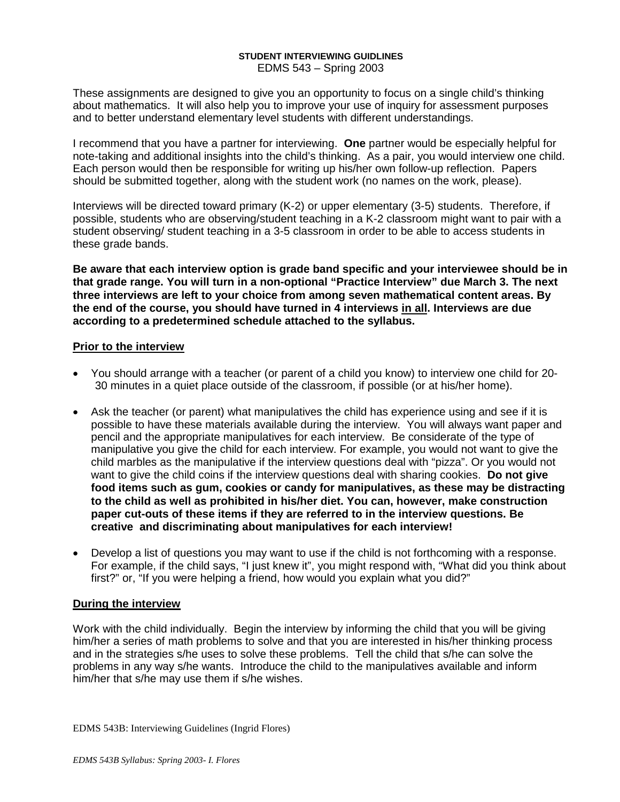### **STUDENT INTERVIEWING GUIDLINES** EDMS 543 – Spring 2003

These assignments are designed to give you an opportunity to focus on a single child's thinking about mathematics. It will also help you to improve your use of inquiry for assessment purposes and to better understand elementary level students with different understandings.

I recommend that you have a partner for interviewing. **One** partner would be especially helpful for note-taking and additional insights into the child's thinking. As a pair, you would interview one child. Each person would then be responsible for writing up his/her own follow-up reflection. Papers should be submitted together, along with the student work (no names on the work, please).

Interviews will be directed toward primary (K-2) or upper elementary (3-5) students. Therefore, if possible, students who are observing/student teaching in a K-2 classroom might want to pair with a student observing/ student teaching in a 3-5 classroom in order to be able to access students in these grade bands.

**Be aware that each interview option is grade band specific and your interviewee should be in that grade range. You will turn in a non-optional "Practice Interview" due March 3. The next three interviews are left to your choice from among seven mathematical content areas. By the end of the course, you should have turned in 4 interviews in all. Interviews are due according to a predetermined schedule attached to the syllabus.**

# **Prior to the interview**

- You should arrange with a teacher (or parent of a child you know) to interview one child for 20- 30 minutes in a quiet place outside of the classroom, if possible (or at his/her home).
- Ask the teacher (or parent) what manipulatives the child has experience using and see if it is possible to have these materials available during the interview. You will always want paper and pencil and the appropriate manipulatives for each interview. Be considerate of the type of manipulative you give the child for each interview. For example, you would not want to give the child marbles as the manipulative if the interview questions deal with "pizza". Or you would not want to give the child coins if the interview questions deal with sharing cookies. **Do not give food items such as gum, cookies or candy for manipulatives, as these may be distracting to the child as well as prohibited in his/her diet. You can, however, make construction paper cut-outs of these items if they are referred to in the interview questions. Be creative and discriminating about manipulatives for each interview!**
- Develop a list of questions you may want to use if the child is not forthcoming with a response. For example, if the child says, "I just knew it", you might respond with, "What did you think about first?" or, "If you were helping a friend, how would you explain what you did?"

# **During the interview**

Work with the child individually. Begin the interview by informing the child that you will be giving him/her a series of math problems to solve and that you are interested in his/her thinking process and in the strategies s/he uses to solve these problems. Tell the child that s/he can solve the problems in any way s/he wants. Introduce the child to the manipulatives available and inform him/her that s/he may use them if s/he wishes.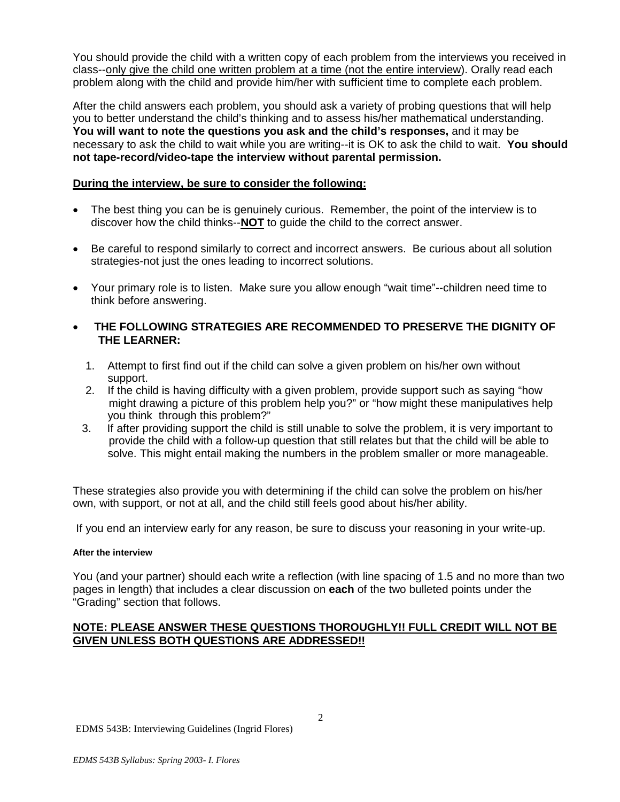You should provide the child with a written copy of each problem from the interviews you received in class--only give the child one written problem at a time (not the entire interview). Orally read each problem along with the child and provide him/her with sufficient time to complete each problem.

After the child answers each problem, you should ask a variety of probing questions that will help you to better understand the child's thinking and to assess his/her mathematical understanding. **You will want to note the questions you ask and the child's responses,** and it may be necessary to ask the child to wait while you are writing--it is OK to ask the child to wait. **You should not tape-record/video-tape the interview without parental permission.**

# **During the interview, be sure to consider the following:**

- The best thing you can be is genuinely curious. Remember, the point of the interview is to discover how the child thinks--**NOT** to guide the child to the correct answer.
- Be careful to respond similarly to correct and incorrect answers. Be curious about all solution strategies-not just the ones leading to incorrect solutions.
- Your primary role is to listen. Make sure you allow enough "wait time"--children need time to think before answering.
- **THE FOLLOWING STRATEGIES ARE RECOMMENDED TO PRESERVE THE DIGNITY OF THE LEARNER:**
	- 1. Attempt to first find out if the child can solve a given problem on his/her own without support.
	- 2. If the child is having difficulty with a given problem, provide support such as saying "how might drawing a picture of this problem help you?" or "how might these manipulatives help you think through this problem?"<br>3. If after providing support the child
	- If after providing support the child is still unable to solve the problem, it is very important to provide the child with a follow-up question that still relates but that the child will be able to solve. This might entail making the numbers in the problem smaller or more manageable.

These strategies also provide you with determining if the child can solve the problem on his/her own, with support, or not at all, and the child still feels good about his/her ability.

If you end an interview early for any reason, be sure to discuss your reasoning in your write-up.

## **After the interview**

You (and your partner) should each write a reflection (with line spacing of 1.5 and no more than two pages in length) that includes a clear discussion on **each** of the two bulleted points under the "Grading" section that follows.

# **NOTE: PLEASE ANSWER THESE QUESTIONS THOROUGHLY!! FULL CREDIT WILL NOT BE GIVEN UNLESS BOTH QUESTIONS ARE ADDRESSED!!**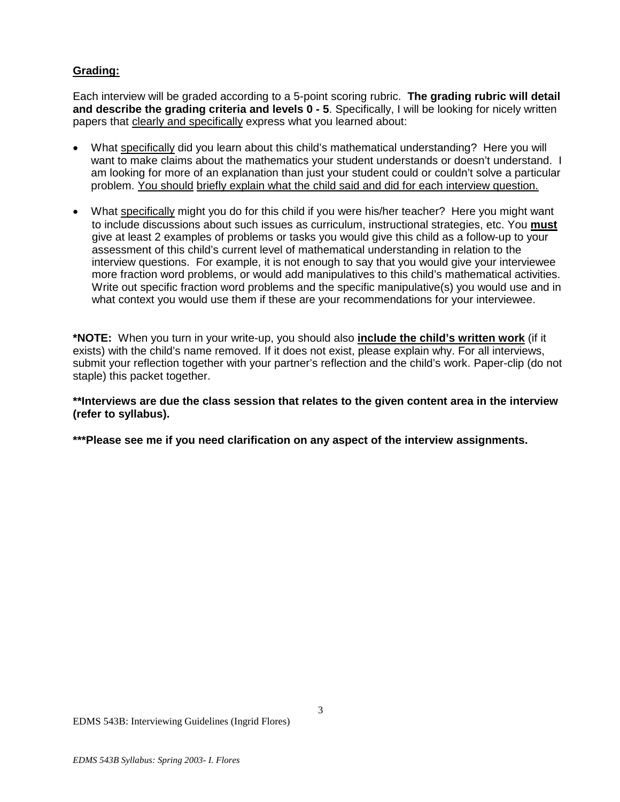# **Grading:**

Each interview will be graded according to a 5-point scoring rubric. **The grading rubric will detail and describe the grading criteria and levels 0 - 5**. Specifically, I will be looking for nicely written papers that clearly and specifically express what you learned about:

- What specifically did you learn about this child's mathematical understanding? Here you will want to make claims about the mathematics your student understands or doesn't understand. I am looking for more of an explanation than just your student could or couldn't solve a particular problem. You should briefly explain what the child said and did for each interview question.
- What specifically might you do for this child if you were his/her teacher? Here you might want to include discussions about such issues as curriculum, instructional strategies, etc. You **must** give at least 2 examples of problems or tasks you would give this child as a follow-up to your assessment of this child's current level of mathematical understanding in relation to the interview questions. For example, it is not enough to say that you would give your interviewee more fraction word problems, or would add manipulatives to this child's mathematical activities. Write out specific fraction word problems and the specific manipulative(s) you would use and in what context you would use them if these are your recommendations for your interviewee.

**\*NOTE:** When you turn in your write-up, you should also **include the child's written work** (if it exists) with the child's name removed. If it does not exist, please explain why. For all interviews, submit your reflection together with your partner's reflection and the child's work. Paper-clip (do not staple) this packet together.

**\*\*Interviews are due the class session that relates to the given content area in the interview (refer to syllabus).** 

**\*\*\*Please see me if you need clarification on any aspect of the interview assignments.**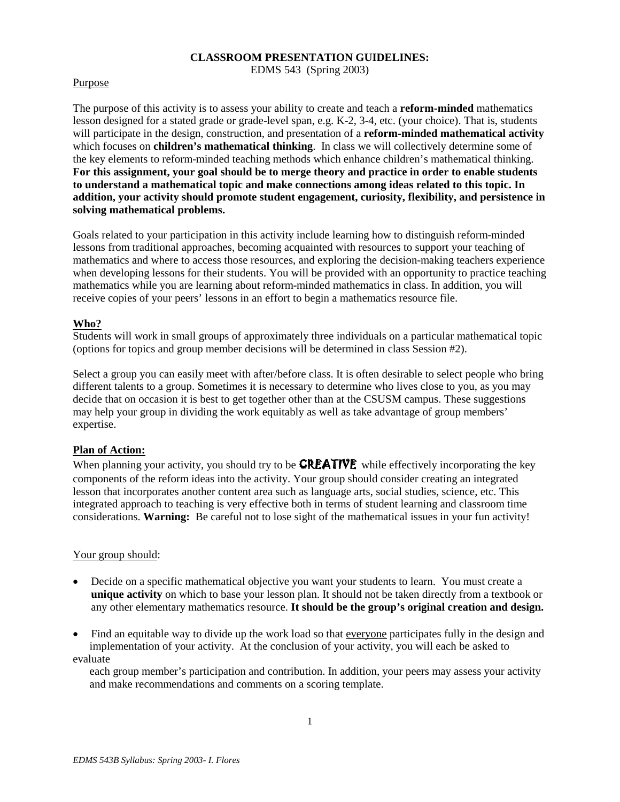## **CLASSROOM PRESENTATION GUIDELINES:**

EDMS 543 (Spring 2003)

## Purpose

The purpose of this activity is to assess your ability to create and teach a **reform-minded** mathematics lesson designed for a stated grade or grade-level span, e.g. K-2, 3-4, etc. (your choice). That is, students will participate in the design, construction, and presentation of a **reform-minded mathematical activity** which focuses on **children's mathematical thinking**. In class we will collectively determine some of the key elements to reform-minded teaching methods which enhance children's mathematical thinking. **For this assignment, your goal should be to merge theory and practice in order to enable students to understand a mathematical topic and make connections among ideas related to this topic. In addition, your activity should promote student engagement, curiosity, flexibility, and persistence in solving mathematical problems.**

Goals related to your participation in this activity include learning how to distinguish reform-minded lessons from traditional approaches, becoming acquainted with resources to support your teaching of mathematics and where to access those resources, and exploring the decision-making teachers experience when developing lessons for their students. You will be provided with an opportunity to practice teaching mathematics while you are learning about reform-minded mathematics in class. In addition, you will receive copies of your peers' lessons in an effort to begin a mathematics resource file.

# **Who?**

Students will work in small groups of approximately three individuals on a particular mathematical topic (options for topics and group member decisions will be determined in class Session #2).

Select a group you can easily meet with after/before class. It is often desirable to select people who bring different talents to a group. Sometimes it is necessary to determine who lives close to you, as you may decide that on occasion it is best to get together other than at the CSUSM campus. These suggestions may help your group in dividing the work equitably as well as take advantage of group members' expertise.

## **Plan of Action:**

When planning your activity, you should try to be **CREATIVE** while effectively incorporating the key components of the reform ideas into the activity. Your group should consider creating an integrated lesson that incorporates another content area such as language arts, social studies, science, etc. This integrated approach to teaching is very effective both in terms of student learning and classroom time considerations. **Warning:** Be careful not to lose sight of the mathematical issues in your fun activity!

## Your group should:

- Decide on a specific mathematical objective you want your students to learn. You must create a **unique activity** on which to base your lesson plan. It should not be taken directly from a textbook or any other elementary mathematics resource. **It should be the group's original creation and design.**
- Find an equitable way to divide up the work load so that everyone participates fully in the design and implementation of your activity. At the conclusion of your activity, you will each be asked to evaluate

 each group member's participation and contribution. In addition, your peers may assess your activity and make recommendations and comments on a scoring template.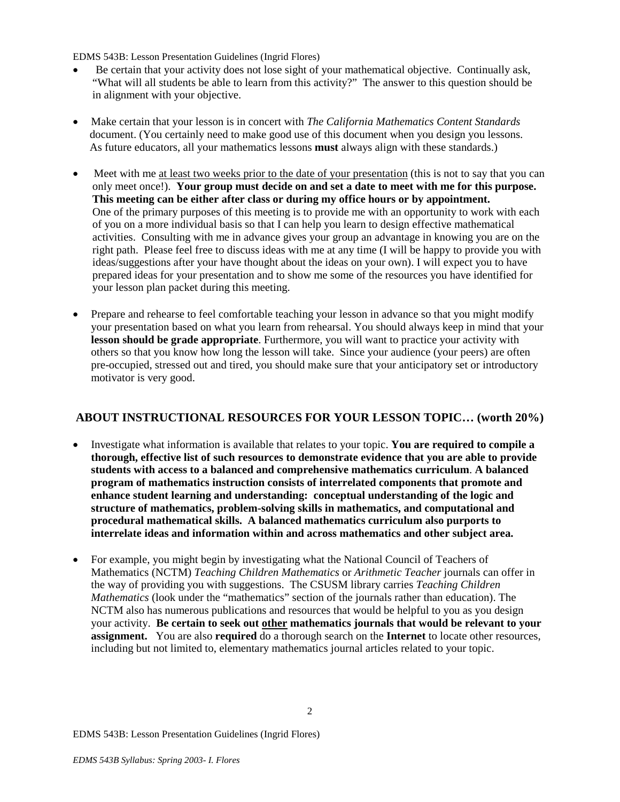EDMS 543B: Lesson Presentation Guidelines (Ingrid Flores)

- Be certain that your activity does not lose sight of your mathematical objective. Continually ask, "What will all students be able to learn from this activity?" The answer to this question should be in alignment with your objective.
- Make certain that your lesson is in concert with *The California Mathematics Content Standards* document. (You certainly need to make good use of this document when you design you lessons. As future educators, all your mathematics lessons **must** always align with these standards.)
- Meet with me at least two weeks prior to the date of your presentation (this is not to say that you can only meet once!). **Your group must decide on and set a date to meet with me for this purpose. This meeting can be either after class or during my office hours or by appointment.** One of the primary purposes of this meeting is to provide me with an opportunity to work with each of you on a more individual basis so that I can help you learn to design effective mathematical activities. Consulting with me in advance gives your group an advantage in knowing you are on the right path. Please feel free to discuss ideas with me at any time (I will be happy to provide you with ideas/suggestions after your have thought about the ideas on your own). I will expect you to have prepared ideas for your presentation and to show me some of the resources you have identified for your lesson plan packet during this meeting.
- Prepare and rehearse to feel comfortable teaching your lesson in advance so that you might modify your presentation based on what you learn from rehearsal. You should always keep in mind that your **lesson should be grade appropriate**. Furthermore, you will want to practice your activity with others so that you know how long the lesson will take. Since your audience (your peers) are often pre-occupied, stressed out and tired, you should make sure that your anticipatory set or introductory motivator is very good.

# **ABOUT INSTRUCTIONAL RESOURCES FOR YOUR LESSON TOPIC… (worth 20%)**

- Investigate what information is available that relates to your topic. **You are required to compile a thorough, effective list of such resources to demonstrate evidence that you are able to provide students with access to a balanced and comprehensive mathematics curriculum**. **A balanced program of mathematics instruction consists of interrelated components that promote and enhance student learning and understanding: conceptual understanding of the logic and structure of mathematics, problem-solving skills in mathematics, and computational and procedural mathematical skills. A balanced mathematics curriculum also purports to interrelate ideas and information within and across mathematics and other subject area.**
- For example, you might begin by investigating what the National Council of Teachers of Mathematics (NCTM) *Teaching Children Mathematics* or *Arithmetic Teacher* journals can offer in the way of providing you with suggestions. The CSUSM library carries *Teaching Children Mathematics* (look under the "mathematics" section of the journals rather than education). The NCTM also has numerous publications and resources that would be helpful to you as you design your activity. **Be certain to seek out other mathematics journals that would be relevant to your assignment.** You are also **required** do a thorough search on the **Internet** to locate other resources, including but not limited to, elementary mathematics journal articles related to your topic.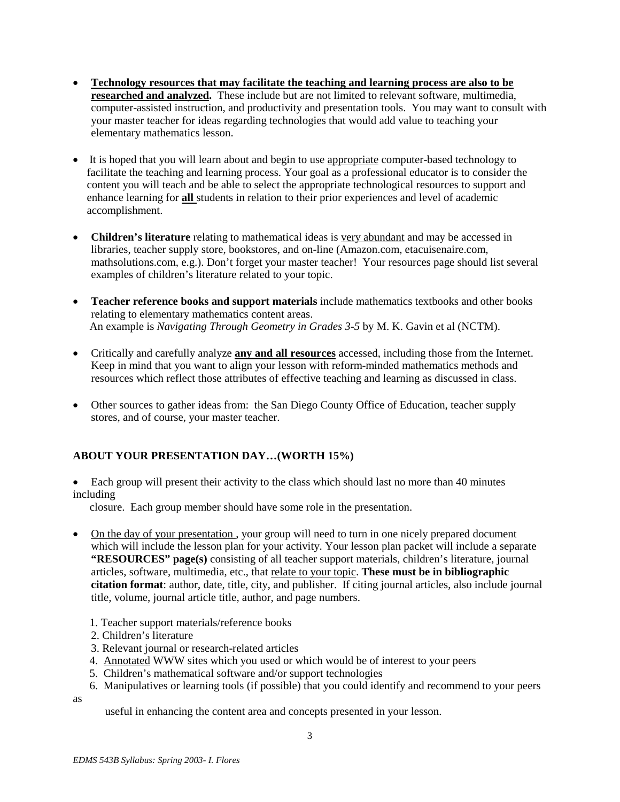- **Technology resources that may facilitate the teaching and learning process are also to be researched and analyzed.** These include but are not limited to relevant software, multimedia, computer-assisted instruction, and productivity and presentation tools. You may want to consult with your master teacher for ideas regarding technologies that would add value to teaching your elementary mathematics lesson.
- It is hoped that you will learn about and begin to use appropriate computer-based technology to facilitate the teaching and learning process. Your goal as a professional educator is to consider the content you will teach and be able to select the appropriate technological resources to support and enhance learning for **all** students in relation to their prior experiences and level of academic accomplishment.
- **Children's literature** relating to mathematical ideas is very abundant and may be accessed in libraries, teacher supply store, bookstores, and on-line (Amazon.com, etacuisenaire.com, mathsolutions.com, e.g.). Don't forget your master teacher! Your resources page should list several examples of children's literature related to your topic.
- **Teacher reference books and support materials** include mathematics textbooks and other books relating to elementary mathematics content areas. An example is *Navigating Through Geometry in Grades 3-5* by M. K. Gavin et al (NCTM).
- Critically and carefully analyze **any and all resources** accessed, including those from the Internet. Keep in mind that you want to align your lesson with reform-minded mathematics methods and resources which reflect those attributes of effective teaching and learning as discussed in class.
- Other sources to gather ideas from: the San Diego County Office of Education, teacher supply stores, and of course, your master teacher.

# **ABOUT YOUR PRESENTATION DAY…(WORTH 15%)**

• Each group will present their activity to the class which should last no more than 40 minutes including

closure.Each group member should have some role in the presentation.

- On the day of your presentation, your group will need to turn in one nicely prepared document which will include the lesson plan for your activity. Your lesson plan packet will include a separate **"RESOURCES" page(s)** consisting of all teacher support materials, children's literature, journal articles, software, multimedia, etc., that relate to your topic. **These must be in bibliographic citation format**: author, date, title, city, and publisher. If citing journal articles, also include journal title, volume, journal article title, author, and page numbers.
	- 1. Teacher support materials/reference books
	- 2. Children's literature
	- 3. Relevant journal or research-related articles
	- 4. Annotated WWW sites which you used or which would be of interest to your peers
	- 5. Children's mathematical software and/or support technologies
	- 6. Manipulatives or learning tools (if possible) that you could identify and recommend to your peers

as

useful in enhancing the content area and concepts presented in your lesson.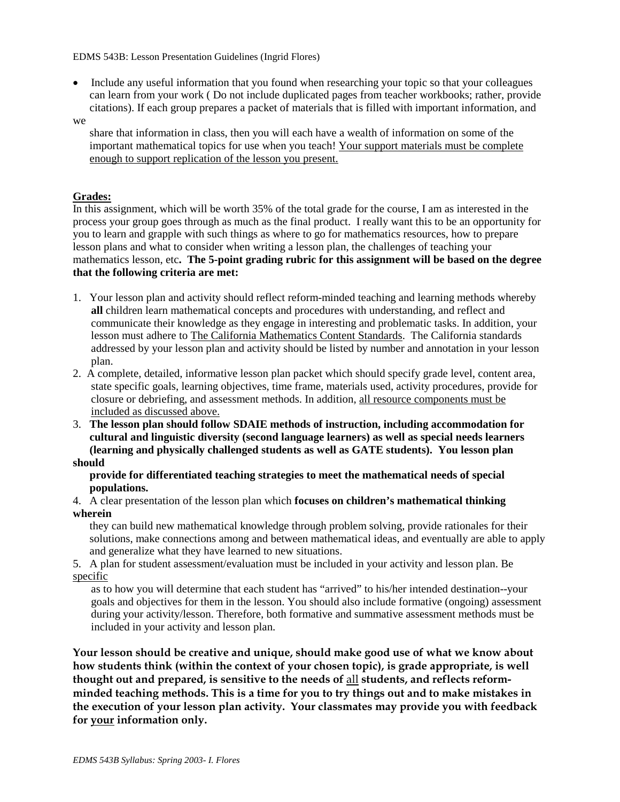• Include any useful information that you found when researching your topic so that your colleagues can learn from your work ( Do not include duplicated pages from teacher workbooks; rather, provide citations). If each group prepares a packet of materials that is filled with important information, and

#### we

 share that information in class, then you will each have a wealth of information on some of the important mathematical topics for use when you teach! Your support materials must be complete enough to support replication of the lesson you present.

## **Grades:**

In this assignment, which will be worth 35% of the total grade for the course, I am as interested in the process your group goes through as much as the final product. I really want this to be an opportunity for you to learn and grapple with such things as where to go for mathematics resources, how to prepare lesson plans and what to consider when writing a lesson plan, the challenges of teaching your mathematics lesson, etc**. The 5-point grading rubric for this assignment will be based on the degree that the following criteria are met:**

- 1. Your lesson plan and activity should reflect reform-minded teaching and learning methods whereby **all** children learn mathematical concepts and procedures with understanding, and reflect and communicate their knowledge as they engage in interesting and problematic tasks. In addition, your lesson must adhere to The California Mathematics Content Standards. The California standards addressed by your lesson plan and activity should be listed by number and annotation in your lesson plan.
- 2. A complete, detailed, informative lesson plan packet which should specify grade level, content area, state specific goals, learning objectives, time frame, materials used, activity procedures, provide for closure or debriefing, and assessment methods. In addition, all resource components must be included as discussed above.
- 3. **The lesson plan should follow SDAIE methods of instruction, including accommodation for cultural and linguistic diversity (second language learners) as well as special needs learners (learning and physically challenged students as well as GATE students). You lesson plan should**

## **provide for differentiated teaching strategies to meet the mathematical needs of special populations.**

4. A clear presentation of the lesson plan which **focuses on children's mathematical thinking wherein**

 they can build new mathematical knowledge through problem solving, provide rationales for their solutions, make connections among and between mathematical ideas, and eventually are able to apply and generalize what they have learned to new situations.

5. A plan for student assessment/evaluation must be included in your activity and lesson plan. Be specific

as to how you will determine that each student has "arrived" to his/her intended destination--your goals and objectives for them in the lesson. You should also include formative (ongoing) assessment during your activity/lesson. Therefore, both formative and summative assessment methods must be included in your activity and lesson plan.

**Your lesson should be creative and unique, should make good use of what we know about how students think (within the context of your chosen topic), is grade appropriate, is well thought out and prepared, is sensitive to the needs of** all **students, and reflects reformminded teaching methods. This is a time for you to try things out and to make mistakes in the execution of your lesson plan activity. Your classmates may provide you with feedback for your information only.**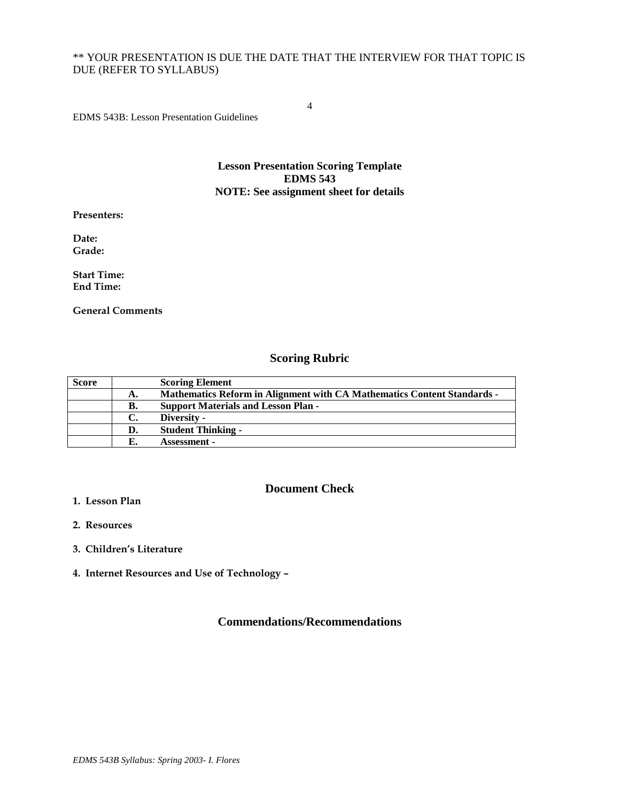# \*\* YOUR PRESENTATION IS DUE THE DATE THAT THE INTERVIEW FOR THAT TOPIC IS DUE (REFER TO SYLLABUS)

4

EDMS 543B: Lesson Presentation Guidelines

### **Lesson Presentation Scoring Template EDMS 543 NOTE: See assignment sheet for details**

**Presenters:**

**Date: Grade:**

**Start Time: End Time:**

**General Comments**

# **Scoring Rubric**

| <b>Score</b> |    | <b>Scoring Element</b>                                                         |
|--------------|----|--------------------------------------------------------------------------------|
|              | А. | <b>Mathematics Reform in Alignment with CA Mathematics Content Standards -</b> |
|              | В. | <b>Support Materials and Lesson Plan -</b>                                     |
|              | C. | Diversity -                                                                    |
|              | D. | <b>Student Thinking -</b>                                                      |
|              |    | <b>Assessment -</b>                                                            |

## **Document Check**

- **1. Lesson Plan**
- **2. Resources**
- **3. Children's Literature**
- **4. Internet Resources and Use of Technology –**

# **Commendations/Recommendations**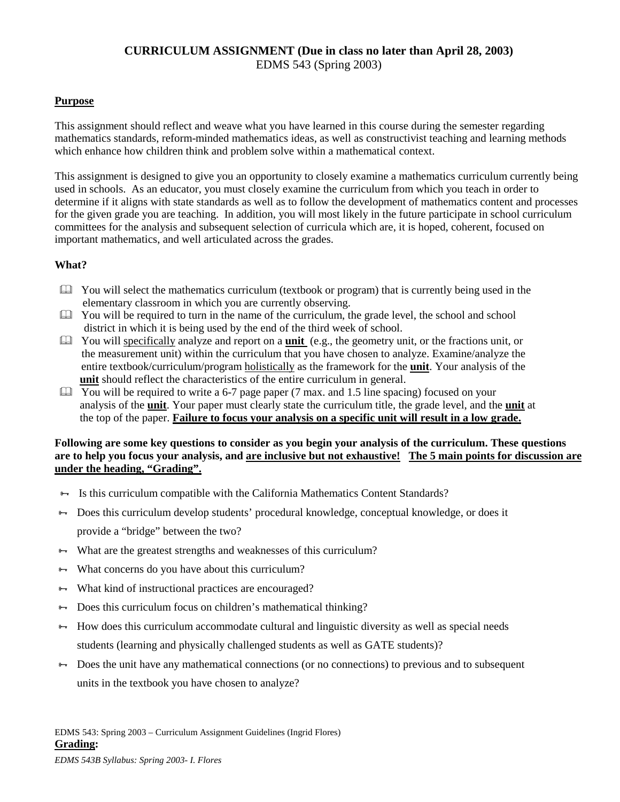# **CURRICULUM ASSIGNMENT (Due in class no later than April 28, 2003)** EDMS 543 (Spring 2003)

# **Purpose**

This assignment should reflect and weave what you have learned in this course during the semester regarding mathematics standards, reform-minded mathematics ideas, as well as constructivist teaching and learning methods which enhance how children think and problem solve within a mathematical context.

This assignment is designed to give you an opportunity to closely examine a mathematics curriculum currently being used in schools. As an educator, you must closely examine the curriculum from which you teach in order to determine if it aligns with state standards as well as to follow the development of mathematics content and processes for the given grade you are teaching. In addition, you will most likely in the future participate in school curriculum committees for the analysis and subsequent selection of curricula which are, it is hoped, coherent, focused on important mathematics, and well articulated across the grades.

# **What?**

- $\Box$  You will select the mathematics curriculum (textbook or program) that is currently being used in the elementary classroom in which you are currently observing.
- $\Box$  You will be required to turn in the name of the curriculum, the grade level, the school and school district in which it is being used by the end of the third week of school.
- You will specifically analyze and report on a **unit** (e.g., the geometry unit, or the fractions unit, or the measurement unit) within the curriculum that you have chosen to analyze. Examine/analyze the entire textbook/curriculum/program holistically as the framework for the **unit**. Your analysis of the **unit** should reflect the characteristics of the entire curriculum in general.
- $\Box$  You will be required to write a 6-7 page paper (7 max. and 1.5 line spacing) focused on your analysis of the **unit**. Your paper must clearly state the curriculum title, the grade level, and the **unit** at the top of the paper. **Failure to focus your analysis on a specific unit will result in a low grade.**

## **Following are some key questions to consider as you begin your analysis of the curriculum. These questions are to help you focus your analysis, and are inclusive but not exhaustive! The 5 main points for discussion are under the heading, "Grading".**

- $\rightarrow$  Is this curriculum compatible with the California Mathematics Content Standards?
- Does this curriculum develop students' procedural knowledge, conceptual knowledge, or does it provide a "bridge" between the two?
- $\rightarrow$  What are the greatest strengths and weaknesses of this curriculum?
- $\rightarrow$  What concerns do you have about this curriculum?
- **→** What kind of instructional practices are encouraged?
- $\rightarrow$  Does this curriculum focus on children's mathematical thinking?
- $\rightarrow$  How does this curriculum accommodate cultural and linguistic diversity as well as special needs students (learning and physically challenged students as well as GATE students)?
- $\rightarrow$  Does the unit have any mathematical connections (or no connections) to previous and to subsequent units in the textbook you have chosen to analyze?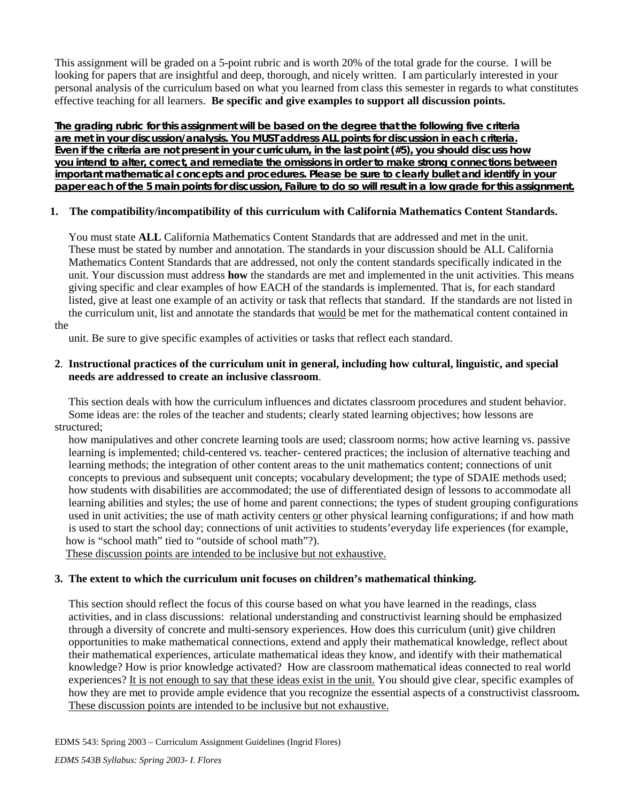This assignment will be graded on a 5-point rubric and is worth 20% of the total grade for the course. I will be looking for papers that are insightful and deep, thorough, and nicely written. I am particularly interested in your personal analysis of the curriculum based on what you learned from class this semester in regards to what constitutes effective teaching for all learners. **Be specific and give examples to support all discussion points.**

**The grading rubric for this assignment will be based on the degree that the following five criteria are met in your discussion/analysis. You MUST address ALL points for discussion in each criteria. Even if the criteria are not present in your curriculum, in the last point (#5), you should discuss how you intend to alter, correct, and remediate the omissions in order to make strong connections between important mathematical concepts and procedures. Please be sure to clearly bullet and identify in your paper each of the 5 main points for discussion, Failure to do so will result in a low grade for this assignment.**

# **1. The compatibility/incompatibility of this curriculum with California Mathematics Content Standards.**

 You must state **ALL** California Mathematics Content Standards that are addressed and met in the unit. These must be stated by number and annotation. The standards in your discussion should be ALL California Mathematics Content Standards that are addressed, not only the content standards specifically indicated in the unit. Your discussion must address **how** the standards are met and implemented in the unit activities. This means giving specific and clear examples of how EACH of the standards is implemented. That is, for each standard listed, give at least one example of an activity or task that reflects that standard. If the standards are not listed in the curriculum unit, list and annotate the standards that would be met for the mathematical content contained in

the

unit. Be sure to give specific examples of activities or tasks that reflect each standard.

## **2**. **Instructional practices of the curriculum unit in general, including how cultural, linguistic, and special needs are addressed to create an inclusive classroom**.

 This section deals with how the curriculum influences and dictates classroom procedures and student behavior. Some ideas are: the roles of the teacher and students; clearly stated learning objectives; how lessons are structured;

 how manipulatives and other concrete learning tools are used; classroom norms; how active learning vs. passive learning is implemented; child-centered vs. teacher- centered practices; the inclusion of alternative teaching and learning methods; the integration of other content areas to the unit mathematics content; connections of unit concepts to previous and subsequent unit concepts; vocabulary development; the type of SDAIE methods used; how students with disabilities are accommodated; the use of differentiated design of lessons to accommodate all learning abilities and styles; the use of home and parent connections; the types of student grouping configurations used in unit activities; the use of math activity centers or other physical learning configurations; if and how math is used to start the school day; connections of unit activities to students'everyday life experiences (for example, how is "school math" tied to "outside of school math"?).

These discussion points are intended to be inclusive but not exhaustive.

## **3. The extent to which the curriculum unit focuses on children's mathematical thinking.**

 This section should reflect the focus of this course based on what you have learned in the readings, class activities, and in class discussions: relational understanding and constructivist learning should be emphasized through a diversity of concrete and multi-sensory experiences. How does this curriculum (unit) give children opportunities to make mathematical connections, extend and apply their mathematical knowledge, reflect about their mathematical experiences, articulate mathematical ideas they know, and identify with their mathematical knowledge? How is prior knowledge activated? How are classroom mathematical ideas connected to real world experiences? It is not enough to say that these ideas exist in the unit. You should give clear, specific examples of how they are met to provide ample evidence that you recognize the essential aspects of a constructivist classroom**.**  These discussion points are intended to be inclusive but not exhaustive.

EDMS 543: Spring 2003 – Curriculum Assignment Guidelines (Ingrid Flores)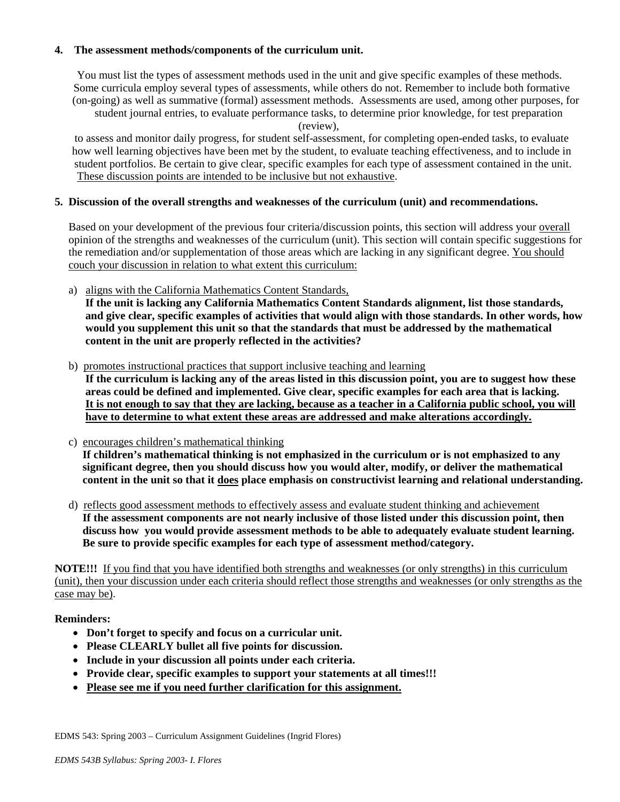## **4. The assessment methods/components of the curriculum unit.**

 You must list the types of assessment methods used in the unit and give specific examples of these methods. Some curricula employ several types of assessments, while others do not. Remember to include both formative (on-going) as well as summative (formal) assessment methods. Assessments are used, among other purposes, for student journal entries, to evaluate performance tasks, to determine prior knowledge, for test preparation

(review),

 to assess and monitor daily progress, for student self-assessment, for completing open-ended tasks, to evaluate how well learning objectives have been met by the student, to evaluate teaching effectiveness, and to include in student portfolios. Be certain to give clear, specific examples for each type of assessment contained in the unit. These discussion points are intended to be inclusive but not exhaustive.

## **5. Discussion of the overall strengths and weaknesses of the curriculum (unit) and recommendations.**

 Based on your development of the previous four criteria/discussion points, this section will address your overall opinion of the strengths and weaknesses of the curriculum (unit). This section will contain specific suggestions for the remediation and/or supplementation of those areas which are lacking in any significant degree. You should couch your discussion in relation to what extent this curriculum:

a) aligns with the California Mathematics Content Standards,

 **If the unit is lacking any California Mathematics Content Standards alignment, list those standards, and give clear, specific examples of activities that would align with those standards. In other words, how would you supplement this unit so that the standards that must be addressed by the mathematical content in the unit are properly reflected in the activities?**

- b) promotes instructional practices that support inclusive teaching and learning **If the curriculum is lacking any of the areas listed in this discussion point, you are to suggest how these areas could be defined and implemented. Give clear, specific examples for each area that is lacking. It is not enough to say that they are lacking, because as a teacher in a California public school, you will have to determine to what extent these areas are addressed and make alterations accordingly.**
- c) encourages children's mathematical thinking **If children's mathematical thinking is not emphasized in the curriculum or is not emphasized to any significant degree, then you should discuss how you would alter, modify, or deliver the mathematical content in the unit so that it does place emphasis on constructivist learning and relational understanding.**
- d) reflects good assessment methods to effectively assess and evaluate student thinking and achievement **If the assessment components are not nearly inclusive of those listed under this discussion point, then discuss how you would provide assessment methods to be able to adequately evaluate student learning. Be sure to provide specific examples for each type of assessment method/category.**

**NOTE!!!** If you find that you have identified both strengths and weaknesses (or only strengths) in this curriculum (unit), then your discussion under each criteria should reflect those strengths and weaknesses (or only strengths as the case may be).

## **Reminders:**

- **Don't forget to specify and focus on a curricular unit.**
- **Please CLEARLY bullet all five points for discussion.**
- **Include in your discussion all points under each criteria.**
- **Provide clear, specific examples to support your statements at all times!!!**
- **Please see me if you need further clarification for this assignment.**

EDMS 543: Spring 2003 – Curriculum Assignment Guidelines (Ingrid Flores)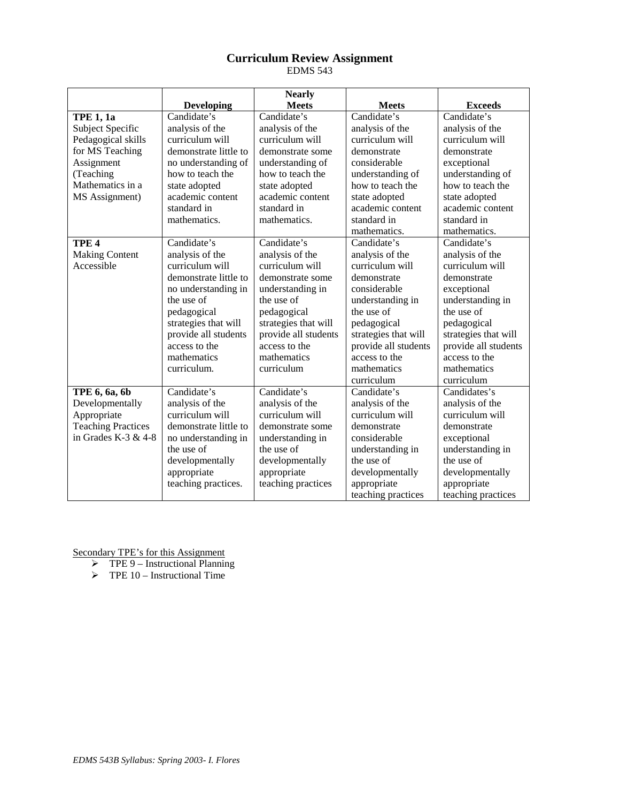## **Curriculum Review Assignment** EDMS 543

|                           |                       | <b>Nearly</b>        |                                    |                      |
|---------------------------|-----------------------|----------------------|------------------------------------|----------------------|
|                           | <b>Developing</b>     | <b>Meets</b>         | <b>Meets</b>                       | <b>Exceeds</b>       |
| <b>TPE 1, 1a</b>          | Candidate's           | Candidate's          | Candidate's                        | Candidate's          |
| Subject Specific          | analysis of the       | analysis of the      | analysis of the                    | analysis of the      |
| Pedagogical skills        | curriculum will       | curriculum will      | curriculum will                    | curriculum will      |
| for MS Teaching           | demonstrate little to | demonstrate some     | demonstrate                        | demonstrate          |
| Assignment                | no understanding of   | understanding of     | considerable                       | exceptional          |
| (Teaching                 | how to teach the      | how to teach the     | understanding of                   | understanding of     |
| Mathematics in a          | state adopted         | state adopted        | how to teach the                   | how to teach the     |
| MS Assignment)            | academic content      | academic content     | state adopted                      | state adopted        |
|                           | standard in           | standard in          | academic content                   | academic content     |
|                           | mathematics.          | mathematics.         | standard in                        | standard in          |
|                           |                       |                      | mathematics.                       | mathematics.         |
| TPE <sub>4</sub>          | Candidate's           | Candidate's          | Candidate's                        | Candidate's          |
| <b>Making Content</b>     | analysis of the       | analysis of the      | analysis of the                    | analysis of the      |
| Accessible                | curriculum will       | curriculum will      | curriculum will                    | curriculum will      |
|                           | demonstrate little to | demonstrate some     | demonstrate                        | demonstrate          |
|                           | no understanding in   | understanding in     | considerable                       | exceptional          |
|                           | the use of            | the use of           | understanding in                   | understanding in     |
|                           | pedagogical           | pedagogical          | the use of                         | the use of           |
|                           | strategies that will  | strategies that will | pedagogical                        | pedagogical          |
|                           | provide all students  | provide all students | strategies that will               | strategies that will |
|                           | access to the         | access to the        | provide all students               | provide all students |
|                           | mathematics           | mathematics          | access to the                      | access to the        |
|                           | curriculum.           | curriculum           | mathematics                        | mathematics          |
|                           |                       |                      | curriculum                         | curriculum           |
| TPE 6, 6a, 6b             | Candidate's           | Candidate's          | Candidate's                        | Candidates's         |
| Developmentally           | analysis of the       | analysis of the      | analysis of the                    | analysis of the      |
| Appropriate               | curriculum will       | curriculum will      | curriculum will<br>curriculum will |                      |
| <b>Teaching Practices</b> | demonstrate little to | demonstrate some     | demonstrate<br>demonstrate         |                      |
| in Grades K-3 $& 4-8$     | no understanding in   | understanding in     | considerable<br>exceptional        |                      |
|                           | the use of            | the use of           | understanding in                   | understanding in     |
|                           | developmentally       | developmentally      | the use of                         | the use of           |
|                           | appropriate           | appropriate          | developmentally                    | developmentally      |
|                           | teaching practices.   | teaching practices   | appropriate                        | appropriate          |
|                           |                       |                      | teaching practices                 | teaching practices   |

Secondary TPE's for this Assignment

 $\triangleright$  TPE 9 – Instructional Planning

 $\triangleright$  TPE 10 – Instructional Time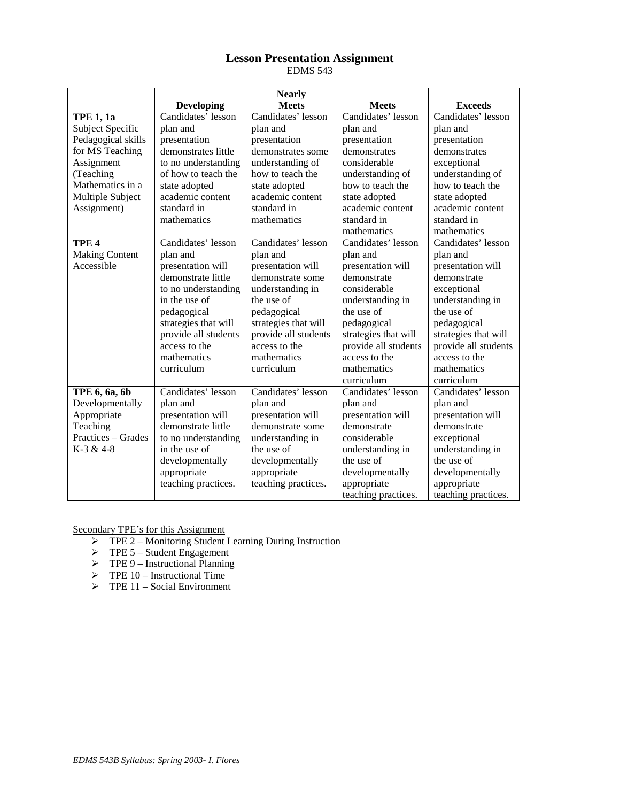### **Lesson Presentation Assignment** EDMS 543

|                         |                      | <b>Nearly</b>        |                             |                      |
|-------------------------|----------------------|----------------------|-----------------------------|----------------------|
|                         | <b>Developing</b>    | <b>Meets</b>         | <b>Meets</b>                | <b>Exceeds</b>       |
| <b>TPE 1, 1a</b>        | Candidates' lesson   | Candidates' lesson   | Candidates' lesson          | Candidates' lesson   |
| <b>Subject Specific</b> | plan and             | plan and             | plan and                    | plan and             |
| Pedagogical skills      | presentation         | presentation         | presentation                | presentation         |
| for MS Teaching         | demonstrates little  | demonstrates some    | demonstrates                | demonstrates         |
| Assignment              | to no understanding  | understanding of     | considerable                | exceptional          |
| (Teaching               | of how to teach the  | how to teach the     | understanding of            | understanding of     |
| Mathematics in a        | state adopted        | state adopted        | how to teach the            | how to teach the     |
| Multiple Subject        | academic content     | academic content     | state adopted               | state adopted        |
| Assignment)             | standard in          | standard in          | academic content            | academic content     |
|                         | mathematics          | mathematics          | standard in                 | standard in          |
|                         |                      |                      | mathematics                 | mathematics          |
| TPE <sub>4</sub>        | Candidates' lesson   | Candidates' lesson   | Candidates' lesson          | Candidates' lesson   |
| <b>Making Content</b>   | plan and             | plan and             | plan and                    | plan and             |
| Accessible              | presentation will    | presentation will    | presentation will           | presentation will    |
|                         | demonstrate little   | demonstrate some     | demonstrate                 | demonstrate          |
|                         | to no understanding  | understanding in     | considerable                | exceptional          |
|                         | in the use of        | the use of           | understanding in            | understanding in     |
|                         | pedagogical          | pedagogical          | the use of                  | the use of           |
|                         | strategies that will | strategies that will | pedagogical                 | pedagogical          |
|                         | provide all students | provide all students | strategies that will        | strategies that will |
|                         | access to the        | access to the        | provide all students        | provide all students |
|                         | mathematics          | mathematics          | access to the               | access to the        |
|                         | curriculum           | curriculum           | mathematics                 | mathematics          |
|                         |                      |                      | curriculum                  | curriculum           |
| TPE 6, 6a, 6b           | Candidates' lesson   | Candidates' lesson   | Candidates' lesson          | Candidates' lesson   |
| Developmentally         | plan and             | plan and             | plan and                    | plan and             |
| Appropriate             | presentation will    | presentation will    | presentation will           | presentation will    |
| Teaching                | demonstrate little   | demonstrate some     | demonstrate<br>demonstrate  |                      |
| Practices - Grades      | to no understanding  | understanding in     | considerable<br>exceptional |                      |
| K-3 & 4-8               | in the use of        | the use of           | understanding in            | understanding in     |
|                         | developmentally      | developmentally      | the use of                  | the use of           |
|                         | appropriate          | appropriate          | developmentally             | developmentally      |
|                         | teaching practices.  | teaching practices.  | appropriate                 | appropriate          |
|                         |                      |                      | teaching practices.         | teaching practices.  |

Secondary TPE's for this Assignment

- TPE 2 Monitoring Student Learning During Instruction
- $\triangleright$  TPE 5 Student Engagement
- $\triangleright$  TPE 9 Instructional Planning
- $\triangleright$  TPE 10 Instructional Time
- $\triangleright$  TPE 11 Social Environment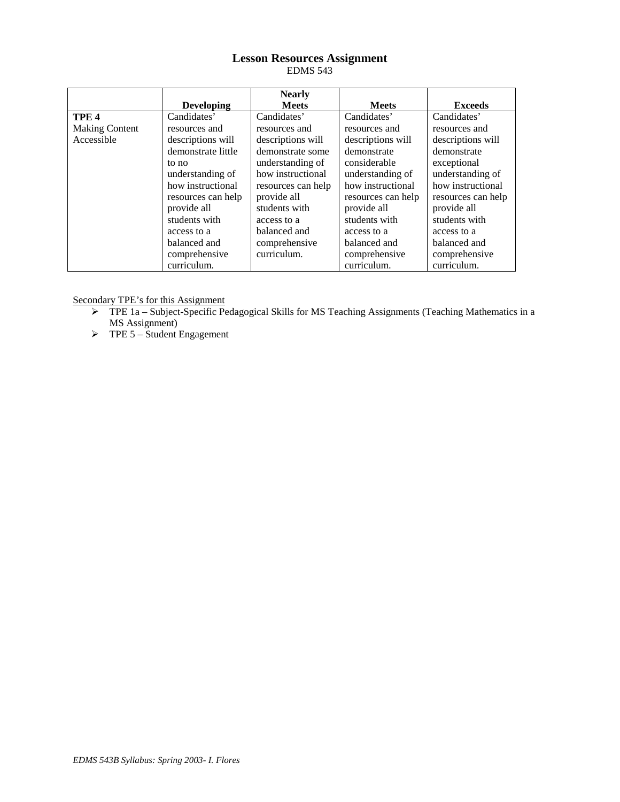## **Lesson Resources Assignment** EDMS 543

|                       |                    | <b>Nearly</b>      |                                        |                    |
|-----------------------|--------------------|--------------------|----------------------------------------|--------------------|
|                       | <b>Developing</b>  | <b>Meets</b>       | <b>Meets</b>                           | <b>Exceeds</b>     |
| TPE <sub>4</sub>      | Candidates'        | Candidates'        | Candidates'                            | Candidates'        |
| <b>Making Content</b> | resources and      | resources and      | resources and                          | resources and      |
| Accessible            | descriptions will  | descriptions will  | descriptions will<br>descriptions will |                    |
|                       | demonstrate little | demonstrate some   | demonstrate                            | demonstrate        |
|                       | to no              | understanding of   | considerable                           | exceptional        |
|                       | understanding of   | how instructional  | understanding of                       | understanding of   |
|                       | how instructional  | resources can help | how instructional                      | how instructional  |
|                       | resources can help | provide all        | resources can help                     | resources can help |
|                       | provide all        | students with      | provide all                            | provide all        |
|                       | students with      | access to a        | students with                          | students with      |
|                       | access to a        | balanced and       | access to a                            | access to a        |
|                       | balanced and       | comprehensive      | balanced and                           | balanced and       |
|                       | comprehensive      | curriculum.        | comprehensive                          | comprehensive      |
|                       | curriculum.        |                    | curriculum.                            | curriculum.        |

Secondary TPE's for this Assignment

- $\triangleright$  TPE 1a Subject-Specific Pedagogical Skills for MS Teaching Assignments (Teaching Mathematics in a MS Assignment)
- $\triangleright$  TPE 5 Student Engagement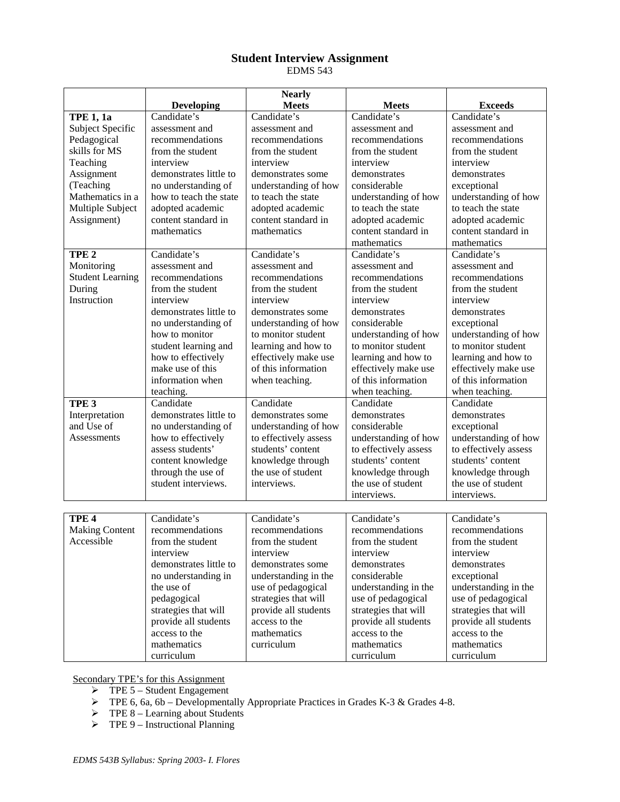## **Student Interview Assignment** EDMS 543

|                         |                        | <b>Nearly</b>                     |                       |                       |
|-------------------------|------------------------|-----------------------------------|-----------------------|-----------------------|
|                         | <b>Developing</b>      | <b>Meets</b>                      | <b>Meets</b>          | <b>Exceeds</b>        |
| <b>TPE 1, 1a</b>        | Candidate's            | Candidate's                       | Candidate's           | Candidate's           |
| Subject Specific        | assessment and         | assessment and                    | assessment and        | assessment and        |
| Pedagogical             | recommendations        | recommendations                   | recommendations       | recommendations       |
| skills for MS           | from the student       | from the student                  | from the student      | from the student      |
| Teaching                | interview              | interview                         | interview             | interview             |
| Assignment              | demonstrates little to | demonstrates some                 | demonstrates          | demonstrates          |
| (Teaching               | no understanding of    | understanding of how              | considerable          | exceptional           |
| Mathematics in a        | how to teach the state | to teach the state                | understanding of how  | understanding of how  |
| Multiple Subject        | adopted academic       | adopted academic                  | to teach the state    | to teach the state    |
| Assignment)             | content standard in    | content standard in               | adopted academic      | adopted academic      |
|                         | mathematics            | mathematics                       | content standard in   | content standard in   |
|                         |                        |                                   | mathematics           | mathematics           |
| TPE <sub>2</sub>        | Candidate's            | Candidate's                       | Candidate's           | Candidate's           |
| Monitoring              | assessment and         | assessment and                    | assessment and        | assessment and        |
| <b>Student Learning</b> | recommendations        | recommendations                   | recommendations       | recommendations       |
| During                  | from the student       | from the student                  | from the student      | from the student      |
| Instruction             | interview              | interview                         | interview             | interview             |
|                         | demonstrates little to | demonstrates some                 | demonstrates          | demonstrates          |
|                         | no understanding of    | understanding of how              | considerable          | exceptional           |
|                         | how to monitor         | to monitor student                | understanding of how  | understanding of how  |
|                         | student learning and   | learning and how to               | to monitor student    | to monitor student    |
|                         | how to effectively     | effectively make use              | learning and how to   | learning and how to   |
|                         | make use of this       | of this information               | effectively make use  | effectively make use  |
|                         | information when       | when teaching.                    | of this information   | of this information   |
|                         | teaching.              |                                   | when teaching.        | when teaching.        |
| TPE <sub>3</sub>        | Candidate              | Candidate                         | Candidate             | Candidate             |
| Interpretation          | demonstrates little to | demonstrates some                 | demonstrates          | demonstrates          |
| and Use of              | no understanding of    | understanding of how              | considerable          | exceptional           |
| Assessments             | how to effectively     | to effectively assess             | understanding of how  | understanding of how  |
|                         | assess students'       | students' content                 | to effectively assess | to effectively assess |
|                         | content knowledge      | knowledge through                 | students' content     | students' content     |
|                         | through the use of     | the use of student                | knowledge through     | knowledge through     |
|                         | student interviews.    | interviews.<br>the use of student |                       | the use of student    |
|                         |                        |                                   | interviews.           | interviews.           |
|                         |                        |                                   |                       |                       |
| TPE <sub>4</sub>        | Candidate's            | Candidate's                       | Candidate's           | Candidate's           |
| <b>Making Content</b>   | recommendations        | recommendations                   | recommendations       | recommendations       |
| Accessible              | from the student       | from the student                  | from the student      | from the student      |
|                         | interview              | interview                         | interview             | interview             |
| demonstrates little to  |                        | demonstrates some                 | demonstrates          | demonstrates          |
|                         | no understanding in    | understanding in the              | considerable          | exceptional           |
|                         | the use of             | use of pedagogical                | understanding in the  | understanding in the  |
|                         | pedagogical            | strategies that will              | use of pedagogical    | use of pedagogical    |
|                         | strategies that will   | provide all students              | strategies that will  | strategies that will  |
|                         | provide all students   | access to the                     | provide all students  | provide all students  |
|                         | access to the          | mathematics                       | access to the         | access to the         |
|                         | mathematics            | curriculum                        | mathematics           | mathematics           |
|                         | curriculum             |                                   | curriculum            | curriculum            |

Secondary TPE's for this Assignment

- $\triangleright$  TPE 5 Student Engagement
- $\triangleright$  TPE 6, 6a, 6b Developmentally Appropriate Practices in Grades K-3 & Grades 4-8.
- $\triangleright$  TPE 8 Learning about Students
- $\triangleright$  TPE 9 Instructional Planning